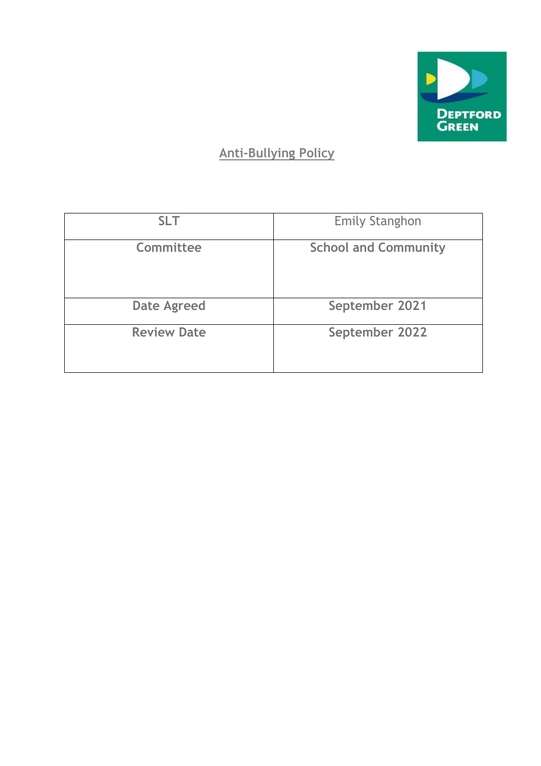

## **Anti-Bullying Policy**

| <b>SLT</b>         | <b>Emily Stanghon</b>       |
|--------------------|-----------------------------|
| Committee          | <b>School and Community</b> |
| <b>Date Agreed</b> | September 2021              |
| <b>Review Date</b> | September 2022              |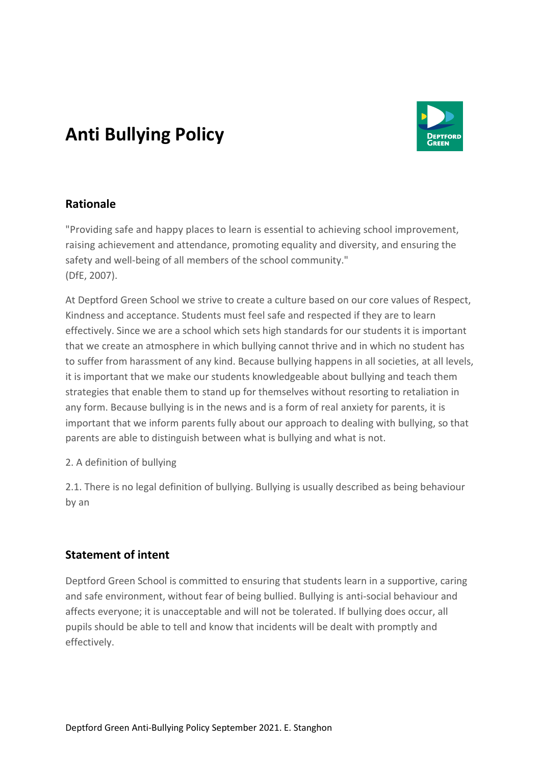## **Anti Bullying Policy**



## **Rationale**

"Providing safe and happy places to learn is essential to achieving school improvement, raising achievement and attendance, promoting equality and diversity, and ensuring the safety and well-being of all members of the school community." (DfE, 2007).

At Deptford Green School we strive to create a culture based on our core values of Respect, Kindness and acceptance. Students must feel safe and respected if they are to learn effectively. Since we are a school which sets high standards for our students it is important that we create an atmosphere in which bullying cannot thrive and in which no student has to suffer from harassment of any kind. Because bullying happens in all societies, at all levels, it is important that we make our students knowledgeable about bullying and teach them strategies that enable them to stand up for themselves without resorting to retaliation in any form. Because bullying is in the news and is a form of real anxiety for parents, it is important that we inform parents fully about our approach to dealing with bullying, so that parents are able to distinguish between what is bullying and what is not.

#### 2. A definition of bullying

2.1. There is no legal definition of bullying. Bullying is usually described as being behaviour by an

## **Statement of intent**

Deptford Green School is committed to ensuring that students learn in a supportive, caring and safe environment, without fear of being bullied. Bullying is anti-social behaviour and affects everyone; it is unacceptable and will not be tolerated. If bullying does occur, all pupils should be able to tell and know that incidents will be dealt with promptly and effectively.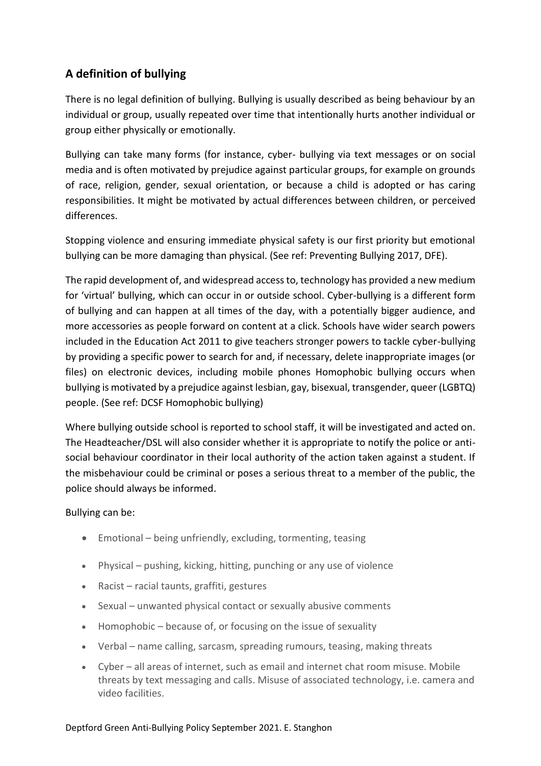## **A definition of bullying**

There is no legal definition of bullying. Bullying is usually described as being behaviour by an individual or group, usually repeated over time that intentionally hurts another individual or group either physically or emotionally.

Bullying can take many forms (for instance, cyber- bullying via text messages or on social media and is often motivated by prejudice against particular groups, for example on grounds of race, religion, gender, sexual orientation, or because a child is adopted or has caring responsibilities. It might be motivated by actual differences between children, or perceived differences.

Stopping violence and ensuring immediate physical safety is our first priority but emotional bullying can be more damaging than physical. (See ref: Preventing Bullying 2017, DFE).

The rapid development of, and widespread access to, technology has provided a new medium for 'virtual' bullying, which can occur in or outside school. Cyber-bullying is a different form of bullying and can happen at all times of the day, with a potentially bigger audience, and more accessories as people forward on content at a click. Schools have wider search powers included in the Education Act 2011 to give teachers stronger powers to tackle cyber-bullying by providing a specific power to search for and, if necessary, delete inappropriate images (or files) on electronic devices, including mobile phones Homophobic bullying occurs when bullying is motivated by a prejudice against lesbian, gay, bisexual, transgender, queer (LGBTQ) people. (See ref: DCSF Homophobic bullying)

Where bullying outside school is reported to school staff, it will be investigated and acted on. The Headteacher/DSL will also consider whether it is appropriate to notify the police or antisocial behaviour coordinator in their local authority of the action taken against a student. If the misbehaviour could be criminal or poses a serious threat to a member of the public, the police should always be informed.

#### Bullying can be:

- Emotional being unfriendly, excluding, tormenting, teasing
- Physical pushing, kicking, hitting, punching or any use of violence
- Racist racial taunts, graffiti, gestures
- Sexual unwanted physical contact or sexually abusive comments
- Homophobic because of, or focusing on the issue of sexuality
- Verbal name calling, sarcasm, spreading rumours, teasing, making threats
- Cyber all areas of internet, such as email and internet chat room misuse. Mobile threats by text messaging and calls. Misuse of associated technology, i.e. camera and video facilities.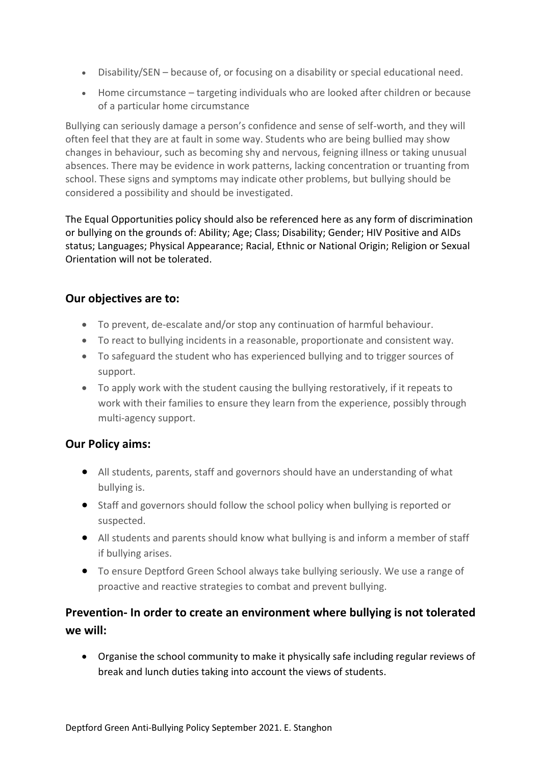- Disability/SEN because of, or focusing on a disability or special educational need.
- Home circumstance targeting individuals who are looked after children or because of a particular home circumstance

Bullying can seriously damage a person's confidence and sense of self-worth, and they will often feel that they are at fault in some way. Students who are being bullied may show changes in behaviour, such as becoming shy and nervous, feigning illness or taking unusual absences. There may be evidence in work patterns, lacking concentration or truanting from school. These signs and symptoms may indicate other problems, but bullying should be considered a possibility and should be investigated.

The Equal Opportunities policy should also be referenced here as any form of discrimination or bullying on the grounds of: Ability; Age; Class; Disability; Gender; HIV Positive and AIDs status; Languages; Physical Appearance; Racial, Ethnic or National Origin; Religion or Sexual Orientation will not be tolerated.

## **Our objectives are to:**

- To prevent, de-escalate and/or stop any continuation of harmful behaviour.
- To react to bullying incidents in a reasonable, proportionate and consistent way.
- To safeguard the student who has experienced bullying and to trigger sources of support.
- To apply work with the student causing the bullying restoratively, if it repeats to work with their families to ensure they learn from the experience, possibly through multi-agency support.

## **Our Policy aims:**

- All students, parents, staff and governors should have an understanding of what bullying is.
- Staff and governors should follow the school policy when bullying is reported or suspected.
- All students and parents should know what bullying is and inform a member of staff if bullying arises.
- To ensure Deptford Green School always take bullying seriously. We use a range of proactive and reactive strategies to combat and prevent bullying.

## **Prevention- In order to create an environment where bullying is not tolerated we will:**

• Organise the school community to make it physically safe including regular reviews of break and lunch duties taking into account the views of students.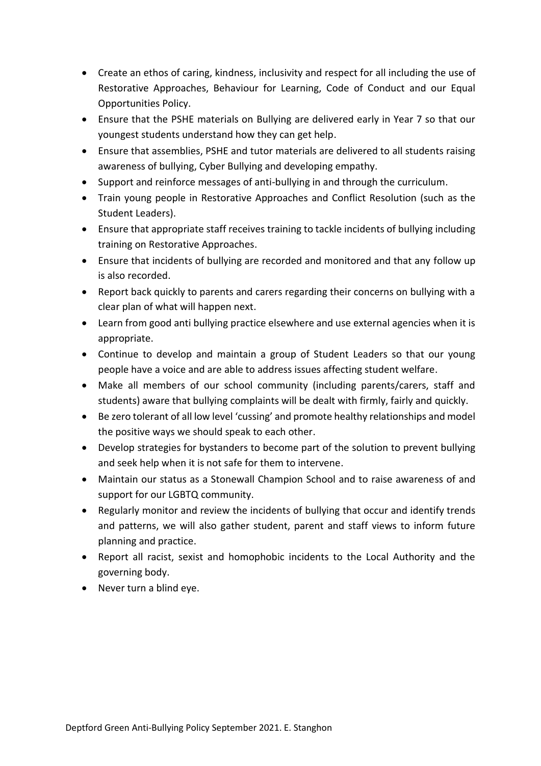- Create an ethos of caring, kindness, inclusivity and respect for all including the use of Restorative Approaches, Behaviour for Learning, Code of Conduct and our Equal Opportunities Policy.
- Ensure that the PSHE materials on Bullying are delivered early in Year 7 so that our youngest students understand how they can get help.
- Ensure that assemblies, PSHE and tutor materials are delivered to all students raising awareness of bullying, Cyber Bullying and developing empathy.
- Support and reinforce messages of anti-bullying in and through the curriculum.
- Train young people in Restorative Approaches and Conflict Resolution (such as the Student Leaders).
- Ensure that appropriate staff receives training to tackle incidents of bullying including training on Restorative Approaches.
- Ensure that incidents of bullying are recorded and monitored and that any follow up is also recorded.
- Report back quickly to parents and carers regarding their concerns on bullying with a clear plan of what will happen next.
- Learn from good anti bullying practice elsewhere and use external agencies when it is appropriate.
- Continue to develop and maintain a group of Student Leaders so that our young people have a voice and are able to address issues affecting student welfare.
- Make all members of our school community (including parents/carers, staff and students) aware that bullying complaints will be dealt with firmly, fairly and quickly.
- Be zero tolerant of all low level 'cussing' and promote healthy relationships and model the positive ways we should speak to each other.
- Develop strategies for bystanders to become part of the solution to prevent bullying and seek help when it is not safe for them to intervene.
- Maintain our status as a Stonewall Champion School and to raise awareness of and support for our LGBTQ community.
- Regularly monitor and review the incidents of bullying that occur and identify trends and patterns, we will also gather student, parent and staff views to inform future planning and practice.
- Report all racist, sexist and homophobic incidents to the Local Authority and the governing body.
- Never turn a blind eye.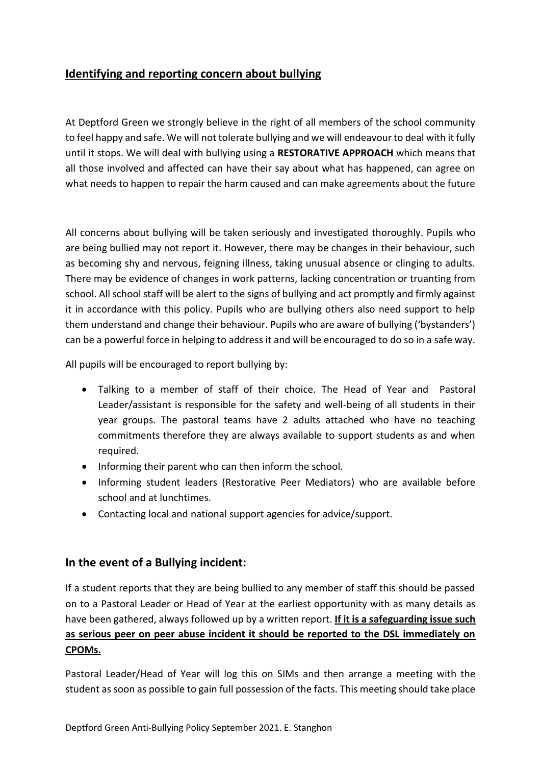### **Identifying and reporting concern about bullying**

At Deptford Green we strongly believe in the right of all members of the school community to feel happy and safe. We will not tolerate bullying and we will endeavour to deal with it fully until it stops. We will deal with bullying using a **RESTORATIVE APPROACH** which means that all those involved and affected can have their say about what has happened, can agree on what needs to happen to repair the harm caused and can make agreements about the future

All concerns about bullying will be taken seriously and investigated thoroughly. Pupils who are being bullied may not report it. However, there may be changes in their behaviour, such as becoming shy and nervous, feigning illness, taking unusual absence or clinging to adults. There may be evidence of changes in work patterns, lacking concentration or truanting from school. All school staff will be alert to the signs of bullying and act promptly and firmly against it in accordance with this policy. Pupils who are bullying others also need support to help them understand and change their behaviour. Pupils who are aware of bullying ('bystanders') can be a powerful force in helping to address it and will be encouraged to do so in a safe way.

All pupils will be encouraged to report bullying by:

- Talking to a member of staff of their choice. The Head of Year and Pastoral Leader/assistant is responsible for the safety and well-being of all students in their year groups. The pastoral teams have 2 adults attached who have no teaching commitments therefore they are always available to support students as and when required.
- Informing their parent who can then inform the school.
- Informing student leaders (Restorative Peer Mediators) who are available before school and at lunchtimes.
- Contacting local and national support agencies for advice/support.

#### **In the event of a Bullying incident:**

If a student reports that they are being bullied to any member of staff this should be passed on to a Pastoral Leader or Head of Year at the earliest opportunity with as many details as have been gathered, always followed up by a written report. **If it is a safeguarding issue such as serious peer on peer abuse incident it should be reported to the DSL immediately on CPOMs.**

Pastoral Leader/Head of Year will log this on SIMs and then arrange a meeting with the student as soon as possible to gain full possession of the facts. This meeting should take place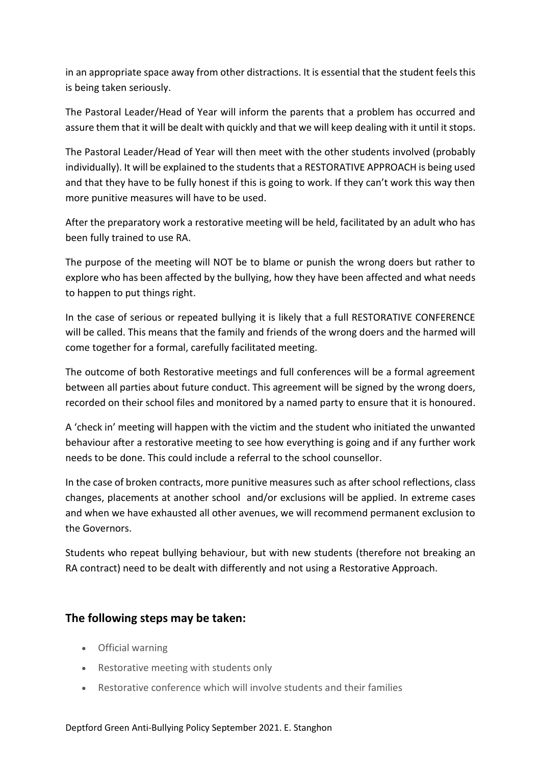in an appropriate space away from other distractions. It is essential that the student feels this is being taken seriously.

The Pastoral Leader/Head of Year will inform the parents that a problem has occurred and assure them that it will be dealt with quickly and that we will keep dealing with it until it stops.

The Pastoral Leader/Head of Year will then meet with the other students involved (probably individually). It will be explained to the students that a RESTORATIVE APPROACH is being used and that they have to be fully honest if this is going to work. If they can't work this way then more punitive measures will have to be used.

After the preparatory work a restorative meeting will be held, facilitated by an adult who has been fully trained to use RA.

The purpose of the meeting will NOT be to blame or punish the wrong doers but rather to explore who has been affected by the bullying, how they have been affected and what needs to happen to put things right.

In the case of serious or repeated bullying it is likely that a full RESTORATIVE CONFERENCE will be called. This means that the family and friends of the wrong doers and the harmed will come together for a formal, carefully facilitated meeting.

The outcome of both Restorative meetings and full conferences will be a formal agreement between all parties about future conduct. This agreement will be signed by the wrong doers, recorded on their school files and monitored by a named party to ensure that it is honoured.

A 'check in' meeting will happen with the victim and the student who initiated the unwanted behaviour after a restorative meeting to see how everything is going and if any further work needs to be done. This could include a referral to the school counsellor.

In the case of broken contracts, more punitive measures such as after school reflections, class changes, placements at another school and/or exclusions will be applied. In extreme cases and when we have exhausted all other avenues, we will recommend permanent exclusion to the Governors.

Students who repeat bullying behaviour, but with new students (therefore not breaking an RA contract) need to be dealt with differently and not using a Restorative Approach.

## **The following steps may be taken:**

- Official warning
- Restorative meeting with students only
- Restorative conference which will involve students and their families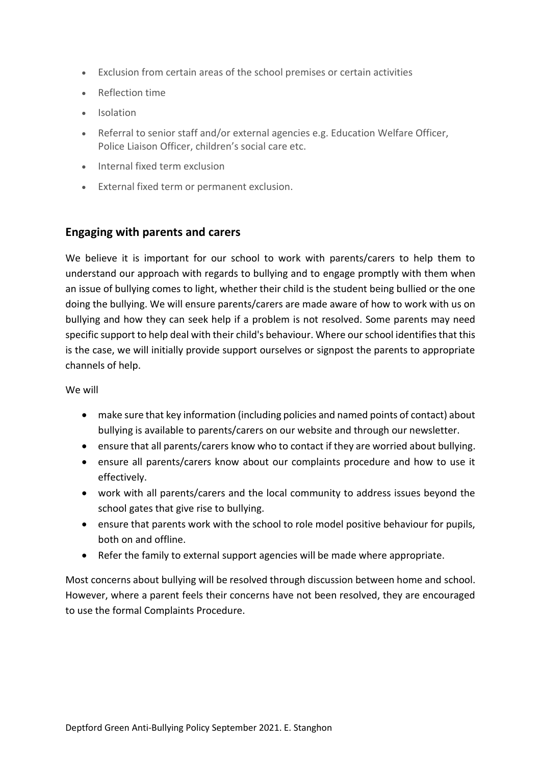- Exclusion from certain areas of the school premises or certain activities
- Reflection time
- Isolation
- Referral to senior staff and/or external agencies e.g. Education Welfare Officer, Police Liaison Officer, children's social care etc.
- Internal fixed term exclusion
- External fixed term or permanent exclusion.

#### **Engaging with parents and carers**

We believe it is important for our school to work with parents/carers to help them to understand our approach with regards to bullying and to engage promptly with them when an issue of bullying comes to light, whether their child is the student being bullied or the one doing the bullying. We will ensure parents/carers are made aware of how to work with us on bullying and how they can seek help if a problem is not resolved. Some parents may need specific support to help deal with their child's behaviour. Where our school identifies that this is the case, we will initially provide support ourselves or signpost the parents to appropriate channels of help.

We will

- make sure that key information (including policies and named points of contact) about bullying is available to parents/carers on our website and through our newsletter.
- ensure that all parents/carers know who to contact if they are worried about bullying.
- ensure all parents/carers know about our complaints procedure and how to use it effectively.
- work with all parents/carers and the local community to address issues beyond the school gates that give rise to bullying.
- ensure that parents work with the school to role model positive behaviour for pupils, both on and offline.
- Refer the family to external support agencies will be made where appropriate.

Most concerns about bullying will be resolved through discussion between home and school. However, where a parent feels their concerns have not been resolved, they are encouraged to use the formal Complaints Procedure.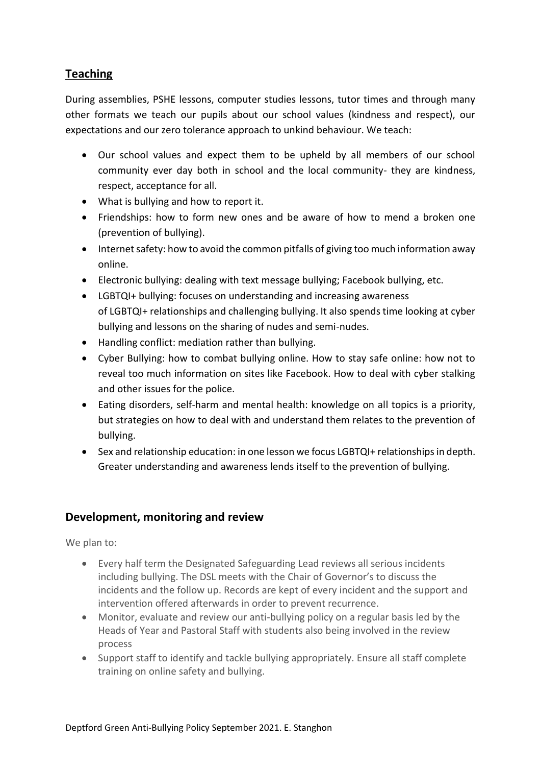## **Teaching**

During assemblies, PSHE lessons, computer studies lessons, tutor times and through many other formats we teach our pupils about our school values (kindness and respect), our expectations and our zero tolerance approach to unkind behaviour. We teach:

- Our school values and expect them to be upheld by all members of our school community ever day both in school and the local community- they are kindness, respect, acceptance for all.
- What is bullying and how to report it.
- Friendships: how to form new ones and be aware of how to mend a broken one (prevention of bullying).
- Internet safety: how to avoid the common pitfalls of giving too much information away online.
- Electronic bullying: dealing with text message bullying; Facebook bullying, etc.
- LGBTQI+ bullying: focuses on understanding and increasing awareness of LGBTQI+ relationships and challenging bullying. It also spends time looking at cyber bullying and lessons on the sharing of nudes and semi-nudes.
- Handling conflict: mediation rather than bullying.
- Cyber Bullying: how to combat bullying online. How to stay safe online: how not to reveal too much information on sites like Facebook. How to deal with cyber stalking and other issues for the police.
- Eating disorders, self-harm and mental health: knowledge on all topics is a priority, but strategies on how to deal with and understand them relates to the prevention of bullying.
- Sex and relationship education: in one lesson we focus LGBTQI+ relationships in depth. Greater understanding and awareness lends itself to the prevention of bullying.

#### **Development, monitoring and review**

We plan to:

- Every half term the Designated Safeguarding Lead reviews all serious incidents including bullying. The DSL meets with the Chair of Governor's to discuss the incidents and the follow up. Records are kept of every incident and the support and intervention offered afterwards in order to prevent recurrence.
- Monitor, evaluate and review our anti-bullying policy on a regular basis led by the Heads of Year and Pastoral Staff with students also being involved in the review process
- Support staff to identify and tackle bullying appropriately. Ensure all staff complete training on online safety and bullying.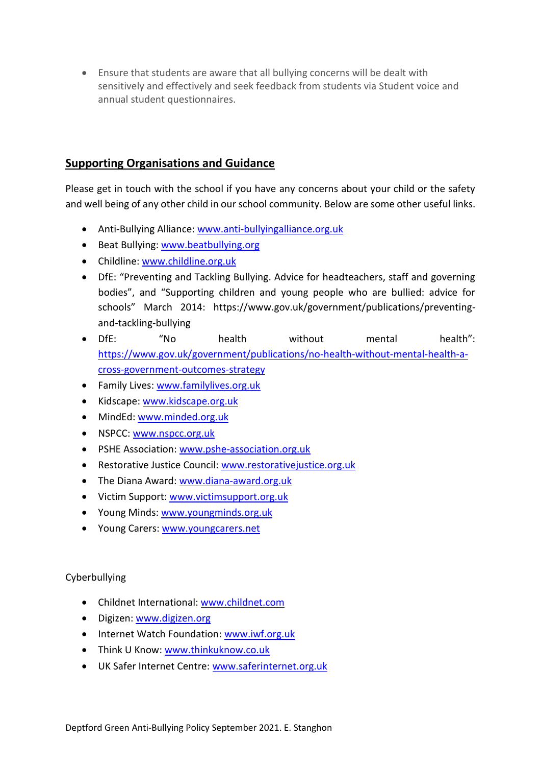• Ensure that students are aware that all bullying concerns will be dealt with sensitively and effectively and seek feedback from students via Student voice and annual student questionnaires.

## **Supporting Organisations and Guidance**

Please get in touch with the school if you have any concerns about your child or the safety and well being of any other child in our school community. Below are some other useful links.

- Anti-Bullying Alliance: [www.anti-bullyingalliance.org.uk](http://www.anti-bullyingalliance.org.uk/)
- Beat Bullying: [www.beatbullying.org](http://www.beatbullying.org/)
- Childline: [www.childline.org.uk](http://www.childline.org.uk/)
- DfE: "Preventing and Tackling Bullying. Advice for headteachers, staff and governing bodies", and "Supporting children and young people who are bullied: advice for schools" March 2014: https://www.gov.uk/government/publications/preventingand-tackling-bullying
- DfE: "No health without mental health": [https://www.gov.uk/government/publications/no-health-without-mental-health-a](https://www.gov.uk/government/publications/no-health-without-mental-health-a-cross-government-outcomes-strategy)[cross-government-outcomes-strategy](https://www.gov.uk/government/publications/no-health-without-mental-health-a-cross-government-outcomes-strategy)
- Family Lives: [www.familylives.org.uk](http://www.familylives.org.uk/)
- Kidscape: [www.kidscape.org.uk](http://www.kidscape.org.uk/)
- MindEd[: www.minded.org.uk](http://www.minded.org.uk/)
- NSPCC: [www.nspcc.org.uk](http://www.nspcc.org.uk/)
- PSHE Association: [www.pshe-association.org.uk](http://www.pshe-association.org.uk/)
- Restorative Justice Council: [www.restorativejustice.org.uk](http://www.restorativejustice.org.uk/)
- The Diana Award: [www.diana-award.org.uk](http://www.diana-award.org.uk/)
- Victim Support: [www.victimsupport.org.uk](http://www.victimsupport.org.uk/)
- Young Minds: [www.youngminds.org.uk](http://www.youngminds.org.uk/)
- Young Carers: [www.youngcarers.net](http://www.youngcarers.net/)

#### Cyberbullying

- Childnet International: [www.childnet.com](http://www.childnet.com/)
- Digizen: [www.digizen.org](http://www.digizen.org/)
- Internet Watch Foundation: [www.iwf.org.uk](http://www.iwf.org.uk/)
- Think U Know: [www.thinkuknow.co.uk](http://www.thinkuknow.co.uk/)
- UK Safer Internet Centre: [www.saferinternet.org.uk](http://www.saferinternet.org.uk/)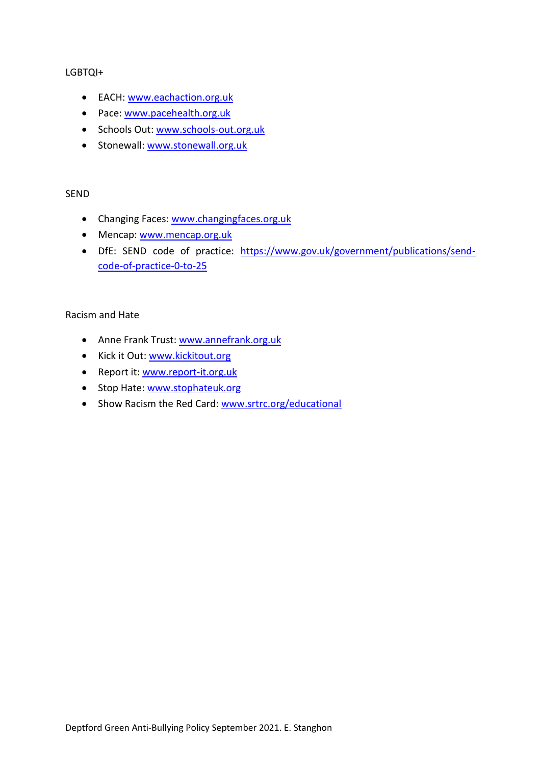#### LGBTQI+

- EACH: [www.eachaction.org.uk](http://www.eachaction.org.uk/)
- Pace: [www.pacehealth.org.uk](http://www.pacehealth.org.uk/)
- Schools Out: [www.schools-out.org.uk](http://www.schools-out.org.uk/)
- Stonewall: [www.stonewall.org.uk](http://www.stonewall.org.uk/)

#### SEND

- Changing Faces[: www.changingfaces.org.uk](http://www.changingfaces.org.uk/)
- Mencap: [www.mencap.org.uk](http://www.mencap.org.uk/)
- DfE: SEND code of practice: [https://www.gov.uk/government/publications/send](https://www.gov.uk/government/publications/send-code-of-practice-0-to-25)[code-of-practice-0-to-25](https://www.gov.uk/government/publications/send-code-of-practice-0-to-25)

#### Racism and Hate

- Anne Frank Trust: [www.annefrank.org.uk](http://www.annefrank.org.uk/)
- Kick it Out: [www.kickitout.org](http://www.kickitout.org/)
- Report it[: www.report-it.org.uk](http://www.report-it.org.uk/)
- Stop Hate: [www.stophateuk.org](http://www.stophateuk.org/)
- Show Racism the Red Card: [www.srtrc.org/educational](http://www.srtrc.org/educational)